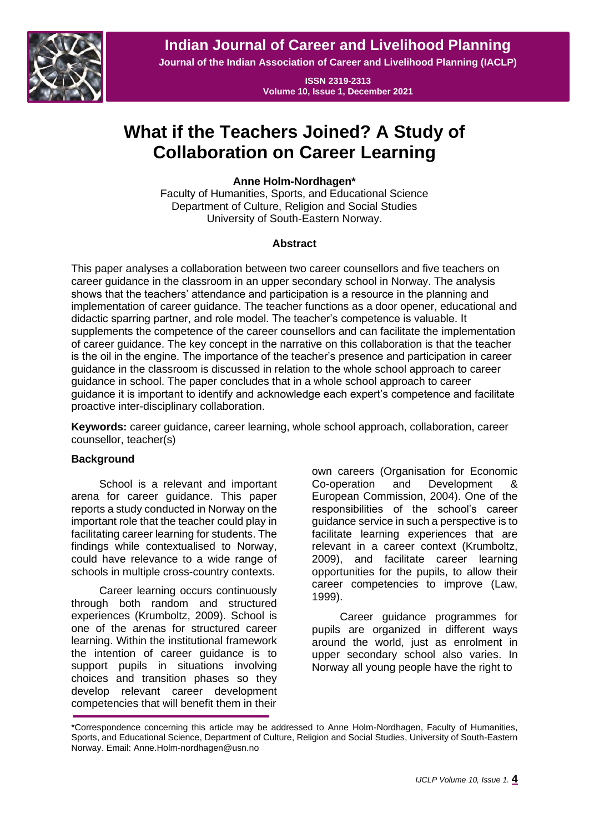**Indian Journal of Career and Livelihood Planning**



**Journal of the Indian Association of Career and Livelihood Planning (IACLP)**

**ISSN 2319-2313 Volume 10, Issue 1, December 2021**

# **What if the Teachers Joined? A Study of Collaboration on Career Learning**

**Anne Holm-Nordhagen\***

Faculty of Humanities, Sports, and Educational Science Department of Culture, Religion and Social Studies University of South-Eastern Norway.

# **Abstract**

This paper analyses a collaboration between two career counsellors and five teachers on career guidance in the classroom in an upper secondary school in Norway. The analysis shows that the teachers' attendance and participation is a resource in the planning and implementation of career guidance. The teacher functions as a door opener, educational and didactic sparring partner, and role model. The teacher's competence is valuable. It supplements the competence of the career counsellors and can facilitate the implementation of career guidance. The key concept in the narrative on this collaboration is that the teacher is the oil in the engine. The importance of the teacher's presence and participation in career guidance in the classroom is discussed in relation to the whole school approach to career guidance in school. The paper concludes that in a whole school approach to career guidance it is important to identify and acknowledge each expert's competence and facilitate proactive inter-disciplinary collaboration.

**Keywords:** career guidance, career learning, whole school approach, collaboration, career counsellor, teacher(s)

# **Background**

School is a relevant and important arena for career guidance. This paper reports a study conducted in Norway on the important role that the teacher could play in facilitating career learning for students. The findings while contextualised to Norway, could have relevance to a wide range of schools in multiple cross-country contexts.

Career learning occurs continuously through both random and structured experiences (Krumboltz, 2009). School is one of the arenas for structured career learning. Within the institutional framework the intention of career guidance is to support pupils in situations involving choices and transition phases so they develop relevant career development competencies that will benefit them in their

own careers (Organisation for Economic Co-operation and Development & European Commission, 2004). One of the responsibilities of the school's career guidance service in such a perspective is to facilitate learning experiences that are relevant in a career context (Krumboltz, 2009), and facilitate career learning opportunities for the pupils, to allow their career competencies to improve (Law, 1999).

Career guidance programmes for pupils are organized in different ways around the world, just as enrolment in upper secondary school also varies. In Norway all young people have the right to

<sup>\*</sup>Correspondence concerning this article may be addressed to Anne Holm-Nordhagen, Faculty of Humanities, Sports, and Educational Science, Department of Culture, Religion and Social Studies, University of South-Eastern Norway. Email: Anne.Holm-nordhagen@usn.no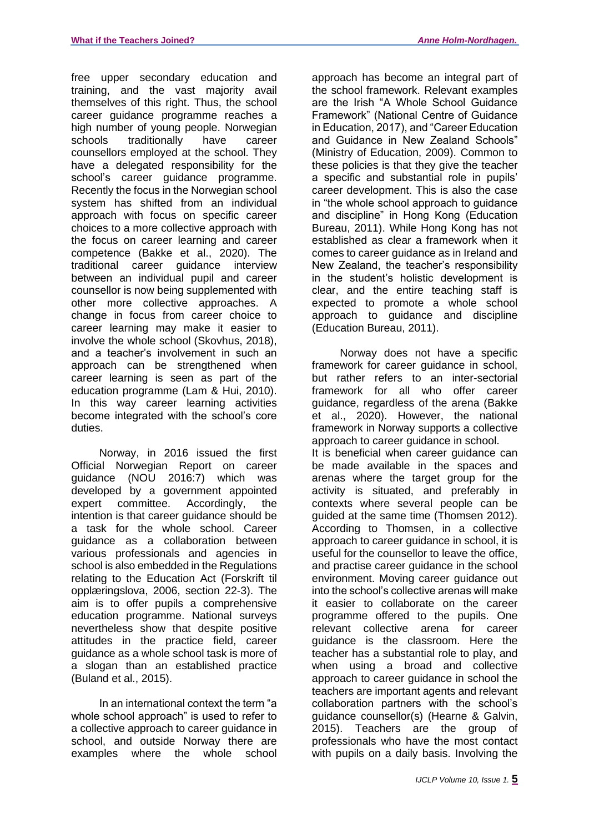free upper secondary education and training, and the vast majority avail themselves of this right. Thus, the school career guidance programme reaches a high number of young people. Norwegian schools traditionally have career counsellors employed at the school. They have a delegated responsibility for the school's career guidance programme. Recently the focus in the Norwegian school system has shifted from an individual approach with focus on specific career choices to a more collective approach with the focus on career learning and career competence (Bakke et al., 2020). The traditional career guidance interview between an individual pupil and career counsellor is now being supplemented with other more collective approaches. A change in focus from career choice to career learning may make it easier to involve the whole school (Skovhus, 2018), and a teacher's involvement in such an approach can be strengthened when career learning is seen as part of the education programme (Lam & Hui, 2010). In this way career learning activities become integrated with the school's core duties.

Norway, in 2016 issued the first Official Norwegian Report on career guidance (NOU 2016:7) which was developed by a government appointed expert committee. Accordingly, the intention is that career guidance should be a task for the whole school. Career guidance as a collaboration between various professionals and agencies in school is also embedded in the Regulations relating to the Education Act (Forskrift til opplæringslova, 2006, section 22-3). The aim is to offer pupils a comprehensive education programme. National surveys nevertheless show that despite positive attitudes in the practice field, career guidance as a whole school task is more of a slogan than an established practice (Buland et al., 2015).

In an international context the term "a whole school approach" is used to refer to a collective approach to career guidance in school, and outside Norway there are examples where the whole school approach has become an integral part of the school framework. Relevant examples are the Irish "A Whole School Guidance Framework" (National Centre of Guidance in Education, 2017), and "Career Education and Guidance in New Zealand Schools" (Ministry of Education, 2009). Common to these policies is that they give the teacher a specific and substantial role in pupils' career development. This is also the case in "the whole school approach to guidance and discipline" in Hong Kong (Education Bureau, 2011). While Hong Kong has not established as clear a framework when it comes to career guidance as in Ireland and New Zealand, the teacher's responsibility in the student's holistic development is clear, and the entire teaching staff is expected to promote a whole school approach to guidance and discipline (Education Bureau, 2011).

Norway does not have a specific framework for career guidance in school, but rather refers to an inter-sectorial framework for all who offer career guidance, regardless of the arena (Bakke et al., 2020). However, the national framework in Norway supports a collective approach to career guidance in school. It is beneficial when career guidance can be made available in the spaces and arenas where the target group for the activity is situated, and preferably in contexts where several people can be guided at the same time (Thomsen 2012). According to Thomsen, in a collective approach to career guidance in school, it is useful for the counsellor to leave the office, and practise career guidance in the school environment. Moving career guidance out into the school's collective arenas will make it easier to collaborate on the career programme offered to the pupils. One relevant collective arena for career guidance is the classroom. Here the teacher has a substantial role to play, and when using a broad and collective approach to career guidance in school the teachers are important agents and relevant collaboration partners with the school's guidance counsellor(s) (Hearne & Galvin, 2015). Teachers are the group of professionals who have the most contact with pupils on a daily basis. Involving the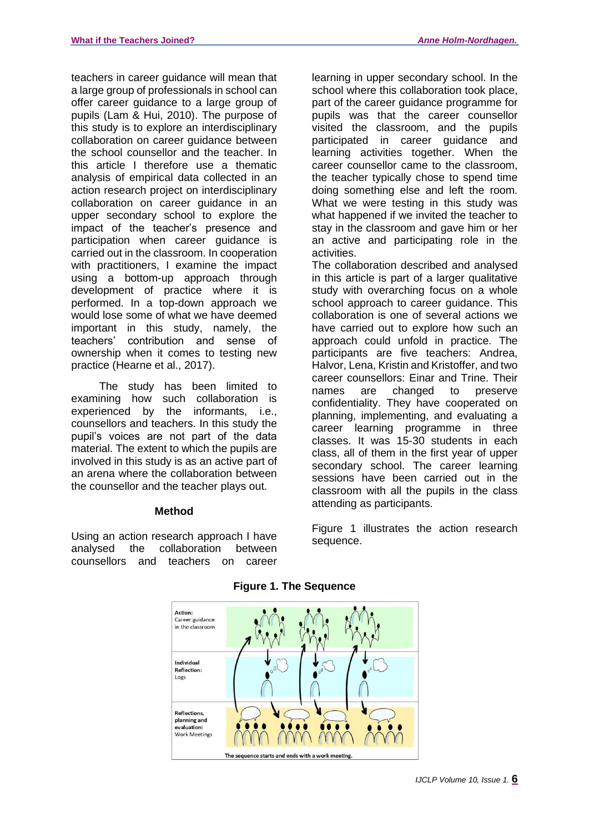teachers in career guidance will mean that a large group of professionals in school can offer career guidance to a large group of pupils (Lam & Hui, 2010). The purpose of this study is to explore an interdisciplinary collaboration on career guidance between the school counsellor and the teacher. In this article I therefore use a thematic analysis of empirical data collected in an action research project on interdisciplinary collaboration on career guidance in an upper secondary school to explore the impact of the teacher's presence and participation when career guidance is carried out in the classroom. In cooperation with practitioners, I examine the impact using a bottom-up approach through development of practice where it is performed. In a top-down approach we would lose some of what we have deemed important in this study, namely, the teachers' contribution and sense of ownership when it comes to testing new practice (Hearne et al., 2017).

The study has been limited to examining how such collaboration is experienced by the informants, i.e., counsellors and teachers. In this study the pupil's voices are not part of the data material. The extent to which the pupils are involved in this study is as an active part of an arena where the collaboration between the counsellor and the teacher plays out.

# **Method**

Using an action research approach I have analysed the collaboration between counsellors and teachers on career

learning in upper secondary school. In the school where this collaboration took place, part of the career guidance programme for pupils was that the career counsellor visited the classroom, and the pupils participated in career guidance and learning activities together. When the career counsellor came to the classroom, the teacher typically chose to spend time doing something else and left the room. What we were testing in this study was what happened if we invited the teacher to stay in the classroom and gave him or her an active and participating role in the activities.

The collaboration described and analysed in this article is part of a larger qualitative study with overarching focus on a whole school approach to career quidance. This collaboration is one of several actions we have carried out to explore how such an approach could unfold in practice. The participants are five teachers: Andrea, Halvor, Lena, Kristin and Kristoffer, and two career counsellors: Einar and Trine. Their names are changed to preserve confidentiality. They have cooperated on planning, implementing, and evaluating a career learning programme in three classes. It was 15-30 students in each class, all of them in the first year of upper secondary school. The career learning sessions have been carried out in the classroom with all the pupils in the class attending as participants.

Figure 1 illustrates the action research sequence.



# **Figure 1. The Sequence**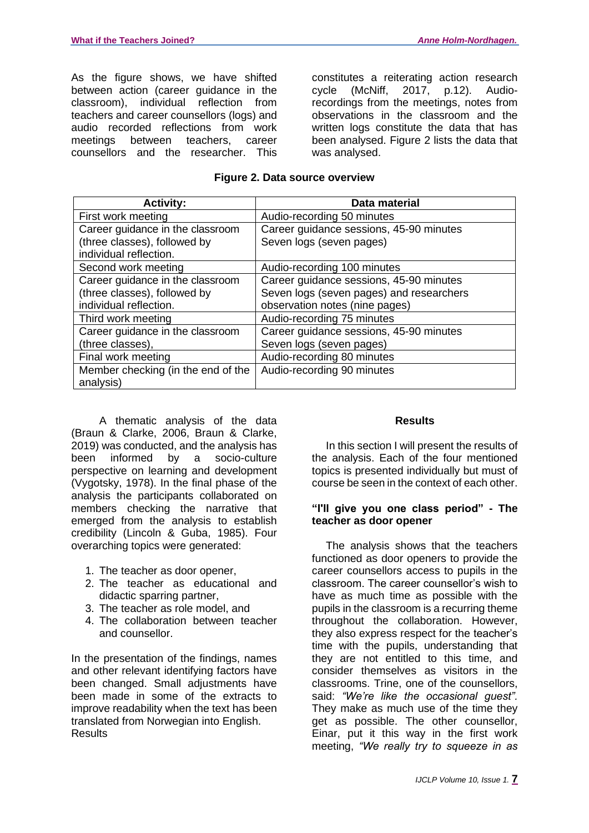As the figure shows, we have shifted between action (career guidance in the classroom), individual reflection from teachers and career counsellors (logs) and audio recorded reflections from work meetings between teachers, career counsellors and the researcher. This

constitutes a reiterating action research cycle (McNiff, 2017, p.12). Audiorecordings from the meetings, notes from observations in the classroom and the written logs constitute the data that has been analysed. Figure 2 lists the data that was analysed.

#### **Figure 2. Data source overview**

| <b>Activity:</b>                   | Data material                            |
|------------------------------------|------------------------------------------|
| First work meeting                 | Audio-recording 50 minutes               |
| Career guidance in the classroom   | Career guidance sessions, 45-90 minutes  |
| (three classes), followed by       | Seven logs (seven pages)                 |
| individual reflection.             |                                          |
| Second work meeting                | Audio-recording 100 minutes              |
| Career guidance in the classroom   | Career guidance sessions, 45-90 minutes  |
| (three classes), followed by       | Seven logs (seven pages) and researchers |
| individual reflection.             | observation notes (nine pages)           |
| Third work meeting                 | Audio-recording 75 minutes               |
| Career guidance in the classroom   | Career guidance sessions, 45-90 minutes  |
| (three classes),                   | Seven logs (seven pages)                 |
| Final work meeting                 | Audio-recording 80 minutes               |
| Member checking (in the end of the | Audio-recording 90 minutes               |
| analysis)                          |                                          |

A thematic analysis of the data (Braun & Clarke, 2006, Braun & Clarke, 2019) was conducted, and the analysis has been informed by a socio-culture perspective on learning and development (Vygotsky, 1978). In the final phase of the analysis the participants collaborated on members checking the narrative that emerged from the analysis to establish credibility (Lincoln & Guba, 1985). Four overarching topics were generated:

- 1. The teacher as door opener,
- 2. The teacher as educational and didactic sparring partner,
- 3. The teacher as role model, and
- 4. The collaboration between teacher and counsellor.

In the presentation of the findings, names and other relevant identifying factors have been changed. Small adjustments have been made in some of the extracts to improve readability when the text has been translated from Norwegian into English. Results

# **Results**

In this section I will present the results of the analysis. Each of the four mentioned topics is presented individually but must of course be seen in the context of each other.

#### **"I'll give you one class period" - The teacher as door opener**

The analysis shows that the teachers functioned as door openers to provide the career counsellors access to pupils in the classroom. The career counsellor's wish to have as much time as possible with the pupils in the classroom is a recurring theme throughout the collaboration. However, they also express respect for the teacher's time with the pupils, understanding that they are not entitled to this time, and consider themselves as visitors in the classrooms. Trine, one of the counsellors, said: *"We're like the occasional guest".* They make as much use of the time they get as possible. The other counsellor, Einar, put it this way in the first work meeting, *"We really try to squeeze in as*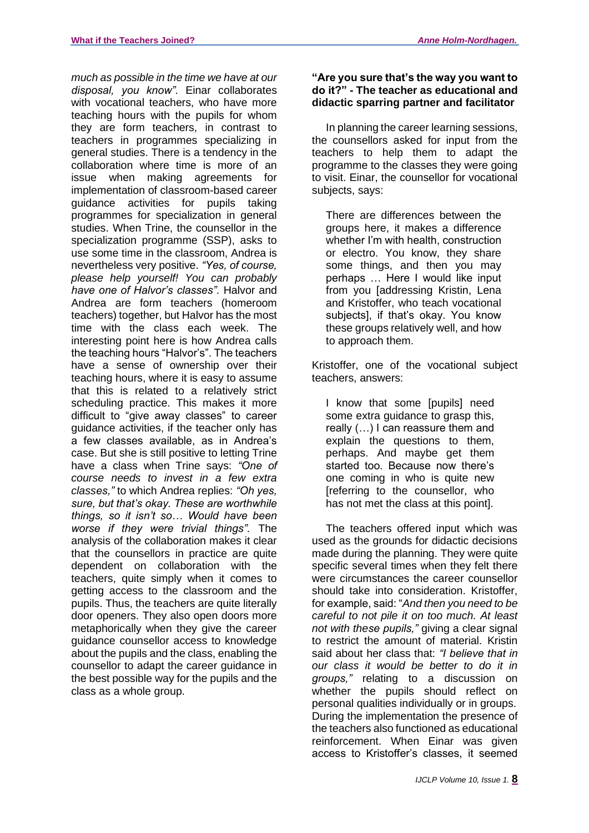*much as possible in the time we have at our disposal, you know".* Einar collaborates with vocational teachers, who have more teaching hours with the pupils for whom they are form teachers, in contrast to teachers in programmes specializing in general studies. There is a tendency in the collaboration where time is more of an issue when making agreements for implementation of classroom-based career guidance activities for pupils taking programmes for specialization in general studies. When Trine, the counsellor in the specialization programme (SSP), asks to use some time in the classroom, Andrea is nevertheless very positive. *"Yes, of course, please help yourself! You can probably have one of Halvor's classes".* Halvor and Andrea are form teachers (homeroom teachers) together, but Halvor has the most time with the class each week. The interesting point here is how Andrea calls the teaching hours "Halvor's". The teachers have a sense of ownership over their teaching hours, where it is easy to assume that this is related to a relatively strict scheduling practice. This makes it more difficult to "give away classes" to career guidance activities, if the teacher only has a few classes available, as in Andrea's case. But she is still positive to letting Trine have a class when Trine says: *"One of course needs to invest in a few extra classes,"* to which Andrea replies: *"Oh yes, sure, but that's okay. These are worthwhile things, so it isn't so… Would have been worse if they were trivial things".* The analysis of the collaboration makes it clear that the counsellors in practice are quite dependent on collaboration with the teachers, quite simply when it comes to getting access to the classroom and the pupils. Thus, the teachers are quite literally door openers. They also open doors more metaphorically when they give the career guidance counsellor access to knowledge about the pupils and the class, enabling the counsellor to adapt the career guidance in the best possible way for the pupils and the class as a whole group.

# **"Are you sure that's the way you want to do it?" - The teacher as educational and didactic sparring partner and facilitator**

In planning the career learning sessions, the counsellors asked for input from the teachers to help them to adapt the programme to the classes they were going to visit. Einar, the counsellor for vocational subjects, says:

There are differences between the groups here, it makes a difference whether I'm with health, construction or electro. You know, they share some things, and then you may perhaps … Here I would like input from you [addressing Kristin, Lena and Kristoffer, who teach vocational subjects], if that's okay. You know these groups relatively well, and how to approach them.

Kristoffer, one of the vocational subject teachers, answers:

I know that some [pupils] need some extra guidance to grasp this, really (…) I can reassure them and explain the questions to them, perhaps. And maybe get them started too. Because now there's one coming in who is quite new [referring to the counsellor, who has not met the class at this point].

The teachers offered input which was used as the grounds for didactic decisions made during the planning. They were quite specific several times when they felt there were circumstances the career counsellor should take into consideration. Kristoffer, for example, said: "*And then you need to be careful to not pile it on too much. At least not with these pupils,"* giving a clear signal to restrict the amount of material. Kristin said about her class that: *"I believe that in our class it would be better to do it in groups,"* relating to a discussion on whether the pupils should reflect on personal qualities individually or in groups. During the implementation the presence of the teachers also functioned as educational reinforcement. When Einar was given access to Kristoffer's classes, it seemed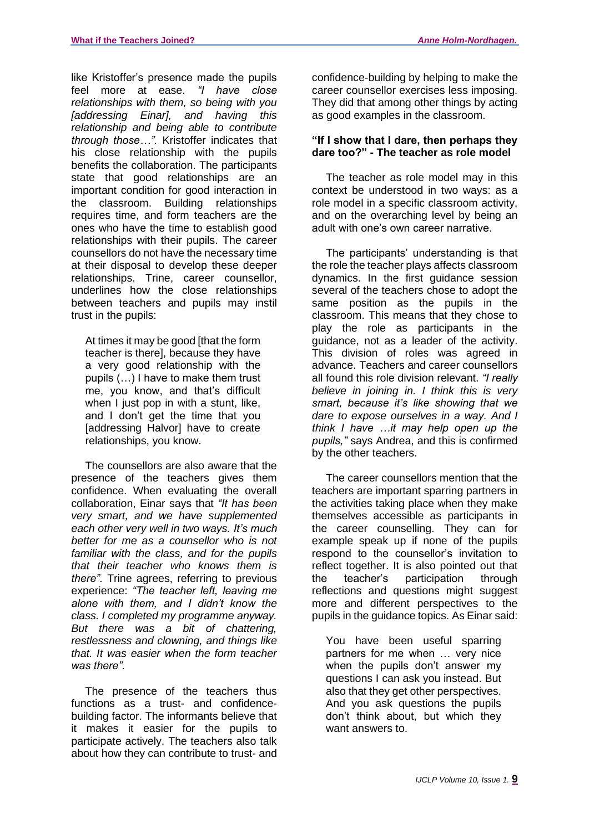like Kristoffer's presence made the pupils feel more at ease. *"I have close relationships with them, so being with you [addressing Einar], and having this relationship and being able to contribute through those…".* Kristoffer indicates that his close relationship with the pupils benefits the collaboration. The participants state that good relationships are an important condition for good interaction in the classroom. Building relationships requires time, and form teachers are the ones who have the time to establish good relationships with their pupils. The career counsellors do not have the necessary time at their disposal to develop these deeper relationships. Trine, career counsellor, underlines how the close relationships between teachers and pupils may instil trust in the pupils:

At times it may be good [that the form teacher is there], because they have a very good relationship with the pupils (…) I have to make them trust me, you know, and that's difficult when I just pop in with a stunt, like, and I don't get the time that you [addressing Halvor] have to create relationships, you know.

The counsellors are also aware that the presence of the teachers gives them confidence. When evaluating the overall collaboration, Einar says that *"It has been very smart, and we have supplemented each other very well in two ways. It's much better for me as a counsellor who is not familiar with the class, and for the pupils that their teacher who knows them is there".* Trine agrees, referring to previous experience: *"The teacher left, leaving me alone with them, and I didn't know the class. I completed my programme anyway. But there was a bit of chattering, restlessness and clowning, and things like that. It was easier when the form teacher was there".*

The presence of the teachers thus functions as a trust- and confidencebuilding factor. The informants believe that it makes it easier for the pupils to participate actively. The teachers also talk about how they can contribute to trust- and

confidence-building by helping to make the career counsellor exercises less imposing. They did that among other things by acting as good examples in the classroom.

#### **"If I show that I dare, then perhaps they dare too?" - The teacher as role model**

The teacher as role model may in this context be understood in two ways: as a role model in a specific classroom activity, and on the overarching level by being an adult with one's own career narrative.

The participants' understanding is that the role the teacher plays affects classroom dynamics. In the first guidance session several of the teachers chose to adopt the same position as the pupils in the classroom. This means that they chose to play the role as participants in the guidance, not as a leader of the activity. This division of roles was agreed in advance. Teachers and career counsellors all found this role division relevant. *"I really believe in joining in. I think this is very smart, because it's like showing that we dare to expose ourselves in a way. And I think I have …it may help open up the pupils,"* says Andrea, and this is confirmed by the other teachers.

The career counsellors mention that the teachers are important sparring partners in the activities taking place when they make themselves accessible as participants in the career counselling. They can for example speak up if none of the pupils respond to the counsellor's invitation to reflect together. It is also pointed out that the teacher's participation through reflections and questions might suggest more and different perspectives to the pupils in the guidance topics. As Einar said:

You have been useful sparring partners for me when … very nice when the pupils don't answer my questions I can ask you instead. But also that they get other perspectives. And you ask questions the pupils don't think about, but which they want answers to.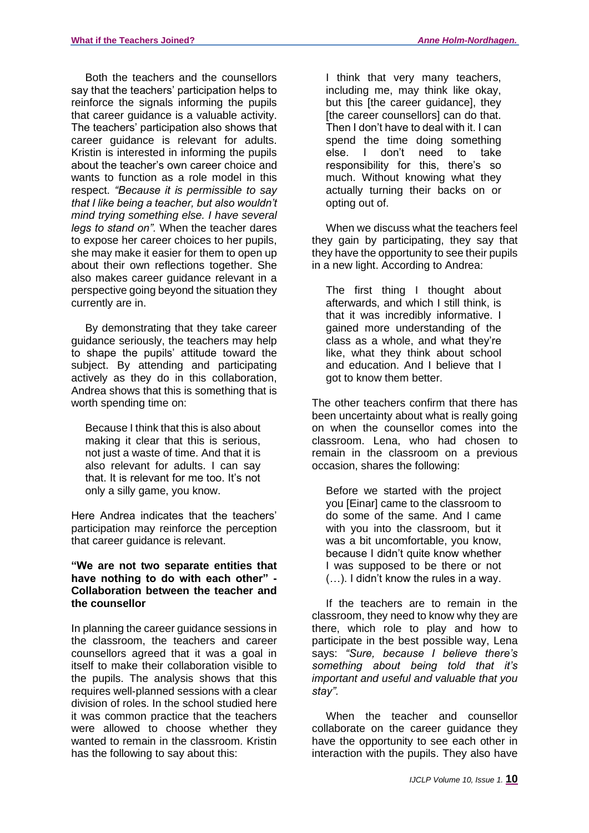Both the teachers and the counsellors say that the teachers' participation helps to reinforce the signals informing the pupils that career guidance is a valuable activity. The teachers' participation also shows that career guidance is relevant for adults. Kristin is interested in informing the pupils about the teacher's own career choice and wants to function as a role model in this respect. *"Because it is permissible to say that I like being a teacher, but also wouldn't mind trying something else. I have several legs to stand on".* When the teacher dares to expose her career choices to her pupils, she may make it easier for them to open up about their own reflections together. She also makes career guidance relevant in a perspective going beyond the situation they currently are in.

By demonstrating that they take career guidance seriously, the teachers may help to shape the pupils' attitude toward the subject. By attending and participating actively as they do in this collaboration, Andrea shows that this is something that is worth spending time on:

Because I think that this is also about making it clear that this is serious, not just a waste of time. And that it is also relevant for adults. I can say that. It is relevant for me too. It's not only a silly game, you know.

Here Andrea indicates that the teachers' participation may reinforce the perception that career guidance is relevant.

#### **"We are not two separate entities that have nothing to do with each other" - Collaboration between the teacher and the counsellor**

In planning the career guidance sessions in the classroom, the teachers and career counsellors agreed that it was a goal in itself to make their collaboration visible to the pupils. The analysis shows that this requires well-planned sessions with a clear division of roles. In the school studied here it was common practice that the teachers were allowed to choose whether they wanted to remain in the classroom. Kristin has the following to say about this:

I think that very many teachers, including me, may think like okay, but this [the career guidance], they [the career counsellors] can do that. Then I don't have to deal with it. I can spend the time doing something else. I don't need to take responsibility for this, there's so much. Without knowing what they actually turning their backs on or opting out of.

When we discuss what the teachers feel they gain by participating, they say that they have the opportunity to see their pupils in a new light. According to Andrea:

The first thing I thought about afterwards, and which I still think, is that it was incredibly informative. I gained more understanding of the class as a whole, and what they're like, what they think about school and education. And I believe that I got to know them better.

The other teachers confirm that there has been uncertainty about what is really going on when the counsellor comes into the classroom. Lena, who had chosen to remain in the classroom on a previous occasion, shares the following:

Before we started with the project you [Einar] came to the classroom to do some of the same. And I came with you into the classroom, but it was a bit uncomfortable, you know, because I didn't quite know whether I was supposed to be there or not (…). I didn't know the rules in a way.

If the teachers are to remain in the classroom, they need to know why they are there, which role to play and how to participate in the best possible way, Lena says: *"Sure, because I believe there's something about being told that it's important and useful and valuable that you stay".*

When the teacher and counsellor collaborate on the career guidance they have the opportunity to see each other in interaction with the pupils. They also have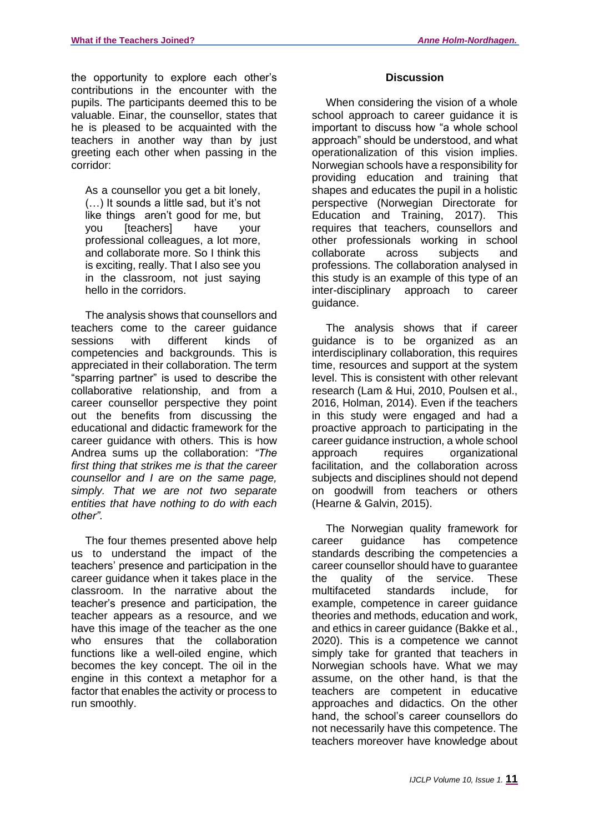the opportunity to explore each other's contributions in the encounter with the pupils. The participants deemed this to be valuable. Einar, the counsellor, states that he is pleased to be acquainted with the teachers in another way than by just greeting each other when passing in the corridor:

As a counsellor you get a bit lonely, (…) It sounds a little sad, but it's not like things aren't good for me, but you [teachers] have your professional colleagues, a lot more, and collaborate more. So I think this is exciting, really. That I also see you in the classroom, not just saying hello in the corridors.

The analysis shows that counsellors and teachers come to the career guidance sessions with different kinds of competencies and backgrounds. This is appreciated in their collaboration. The term "sparring partner" is used to describe the collaborative relationship, and from a career counsellor perspective they point out the benefits from discussing the educational and didactic framework for the career guidance with others. This is how Andrea sums up the collaboration: *"The first thing that strikes me is that the career counsellor and I are on the same page, simply. That we are not two separate entities that have nothing to do with each other".*

The four themes presented above help us to understand the impact of the teachers' presence and participation in the career guidance when it takes place in the classroom. In the narrative about the teacher's presence and participation, the teacher appears as a resource, and we have this image of the teacher as the one who ensures that the collaboration functions like a well-oiled engine, which becomes the key concept. The oil in the engine in this context a metaphor for a factor that enables the activity or process to run smoothly.

#### **Discussion**

When considering the vision of a whole school approach to career quidance it is important to discuss how "a whole school approach" should be understood, and what operationalization of this vision implies. Norwegian schools have a responsibility for providing education and training that shapes and educates the pupil in a holistic perspective (Norwegian Directorate for Education and Training, 2017). This requires that teachers, counsellors and other professionals working in school collaborate across subjects and professions. The collaboration analysed in this study is an example of this type of an inter-disciplinary approach to career guidance.

The analysis shows that if career guidance is to be organized as an interdisciplinary collaboration, this requires time, resources and support at the system level. This is consistent with other relevant research (Lam & Hui, 2010, Poulsen et al., 2016, Holman, 2014). Even if the teachers in this study were engaged and had a proactive approach to participating in the career guidance instruction, a whole school approach requires organizational facilitation, and the collaboration across subjects and disciplines should not depend on goodwill from teachers or others (Hearne & Galvin, 2015).

The Norwegian quality framework for career guidance has competence standards describing the competencies a career counsellor should have to guarantee the quality of the service. These multifaceted standards include, for example, competence in career guidance theories and methods, education and work, and ethics in career guidance (Bakke et al., 2020). This is a competence we cannot simply take for granted that teachers in Norwegian schools have. What we may assume, on the other hand, is that the teachers are competent in educative approaches and didactics. On the other hand, the school's career counsellors do not necessarily have this competence. The teachers moreover have knowledge about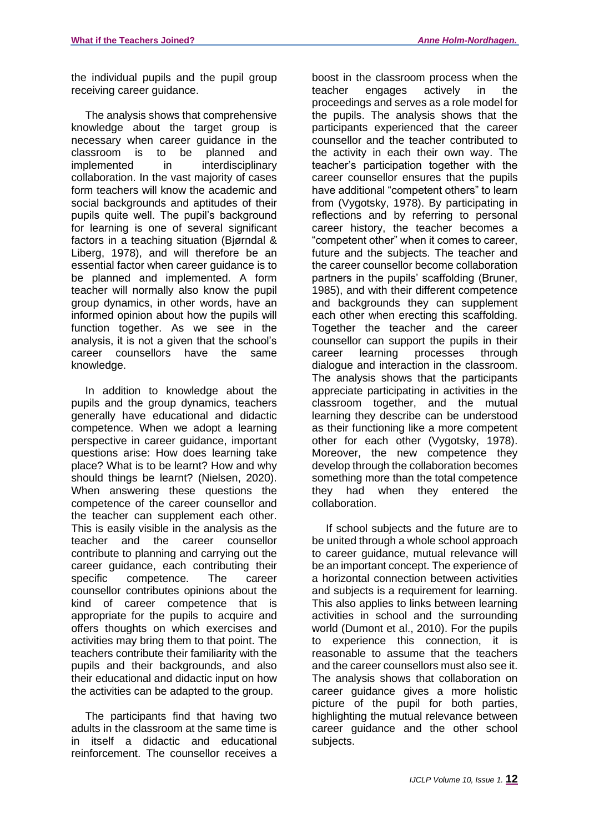the individual pupils and the pupil group receiving career guidance.

The analysis shows that comprehensive knowledge about the target group is necessary when career guidance in the classroom is to be planned and implemented in interdisciplinary collaboration. In the vast majority of cases form teachers will know the academic and social backgrounds and aptitudes of their pupils quite well. The pupil's background for learning is one of several significant factors in a teaching situation (Bjørndal & Liberg, 1978), and will therefore be an essential factor when career guidance is to be planned and implemented. A form teacher will normally also know the pupil group dynamics, in other words, have an informed opinion about how the pupils will function together. As we see in the analysis, it is not a given that the school's career counsellors have the same knowledge.

In addition to knowledge about the pupils and the group dynamics, teachers generally have educational and didactic competence. When we adopt a learning perspective in career guidance, important questions arise: How does learning take place? What is to be learnt? How and why should things be learnt? (Nielsen, 2020). When answering these questions the competence of the career counsellor and the teacher can supplement each other. This is easily visible in the analysis as the teacher and the career counsellor contribute to planning and carrying out the career guidance, each contributing their specific competence. The career counsellor contributes opinions about the kind of career competence that is appropriate for the pupils to acquire and offers thoughts on which exercises and activities may bring them to that point. The teachers contribute their familiarity with the pupils and their backgrounds, and also their educational and didactic input on how the activities can be adapted to the group.

The participants find that having two adults in the classroom at the same time is in itself a didactic and educational reinforcement. The counsellor receives a boost in the classroom process when the teacher engages actively in the proceedings and serves as a role model for the pupils. The analysis shows that the participants experienced that the career counsellor and the teacher contributed to the activity in each their own way. The teacher's participation together with the career counsellor ensures that the pupils have additional "competent others" to learn from (Vygotsky, 1978). By participating in reflections and by referring to personal career history, the teacher becomes a "competent other" when it comes to career, future and the subjects. The teacher and the career counsellor become collaboration partners in the pupils' scaffolding (Bruner, 1985), and with their different competence and backgrounds they can supplement each other when erecting this scaffolding. Together the teacher and the career counsellor can support the pupils in their career learning processes through dialogue and interaction in the classroom. The analysis shows that the participants appreciate participating in activities in the classroom together, and the mutual learning they describe can be understood as their functioning like a more competent other for each other (Vygotsky, 1978). Moreover, the new competence they develop through the collaboration becomes something more than the total competence they had when they entered the collaboration.

If school subjects and the future are to be united through a whole school approach to career guidance, mutual relevance will be an important concept. The experience of a horizontal connection between activities and subjects is a requirement for learning. This also applies to links between learning activities in school and the surrounding world (Dumont et al., 2010). For the pupils to experience this connection, it is reasonable to assume that the teachers and the career counsellors must also see it. The analysis shows that collaboration on career guidance gives a more holistic picture of the pupil for both parties, highlighting the mutual relevance between career guidance and the other school subjects.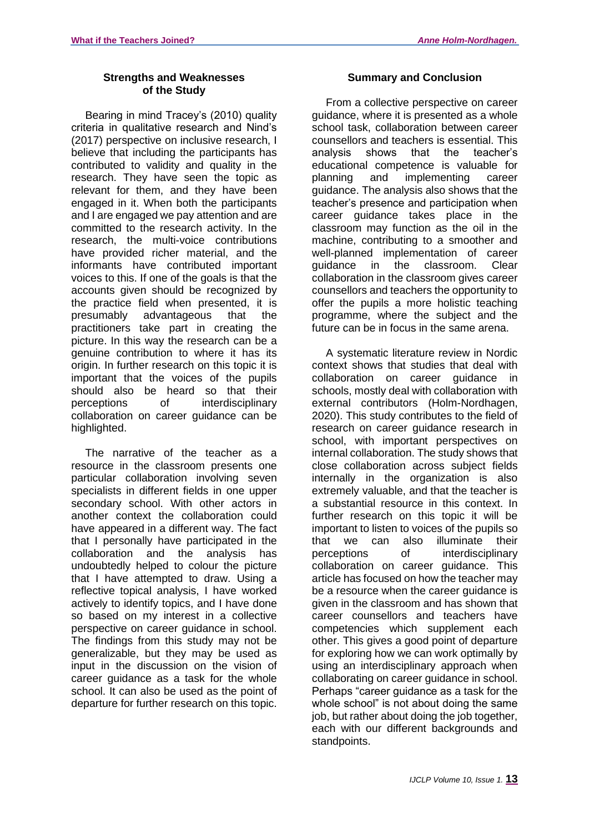# **Strengths and Weaknesses of the Study**

Bearing in mind Tracey's (2010) quality criteria in qualitative research and Nind's (2017) perspective on inclusive research, I believe that including the participants has contributed to validity and quality in the research. They have seen the topic as relevant for them, and they have been engaged in it. When both the participants and I are engaged we pay attention and are committed to the research activity. In the research, the multi-voice contributions have provided richer material, and the informants have contributed important voices to this. If one of the goals is that the accounts given should be recognized by the practice field when presented, it is presumably advantageous that the practitioners take part in creating the picture. In this way the research can be a genuine contribution to where it has its origin. In further research on this topic it is important that the voices of the pupils should also be heard so that their perceptions of interdisciplinary collaboration on career guidance can be highlighted.

The narrative of the teacher as a resource in the classroom presents one particular collaboration involving seven specialists in different fields in one upper secondary school. With other actors in another context the collaboration could have appeared in a different way. The fact that I personally have participated in the collaboration and the analysis has undoubtedly helped to colour the picture that I have attempted to draw. Using a reflective topical analysis, I have worked actively to identify topics, and I have done so based on my interest in a collective perspective on career guidance in school. The findings from this study may not be generalizable, but they may be used as input in the discussion on the vision of career guidance as a task for the whole school. It can also be used as the point of departure for further research on this topic.

# **Summary and Conclusion**

From a collective perspective on career guidance, where it is presented as a whole school task, collaboration between career counsellors and teachers is essential. This analysis shows that the teacher's educational competence is valuable for planning and implementing career guidance. The analysis also shows that the teacher's presence and participation when career guidance takes place in the classroom may function as the oil in the machine, contributing to a smoother and well-planned implementation of career guidance in the classroom. Clear collaboration in the classroom gives career counsellors and teachers the opportunity to offer the pupils a more holistic teaching programme, where the subject and the future can be in focus in the same arena.

A systematic literature review in Nordic context shows that studies that deal with collaboration on career guidance in schools, mostly deal with collaboration with external contributors (Holm-Nordhagen, 2020). This study contributes to the field of research on career guidance research in school, with important perspectives on internal collaboration. The study shows that close collaboration across subject fields internally in the organization is also extremely valuable, and that the teacher is a substantial resource in this context. In further research on this topic it will be important to listen to voices of the pupils so that we can also illuminate their perceptions of interdisciplinary collaboration on career guidance. This article has focused on how the teacher may be a resource when the career guidance is given in the classroom and has shown that career counsellors and teachers have competencies which supplement each other. This gives a good point of departure for exploring how we can work optimally by using an interdisciplinary approach when collaborating on career guidance in school. Perhaps "career guidance as a task for the whole school" is not about doing the same job, but rather about doing the job together, each with our different backgrounds and standpoints.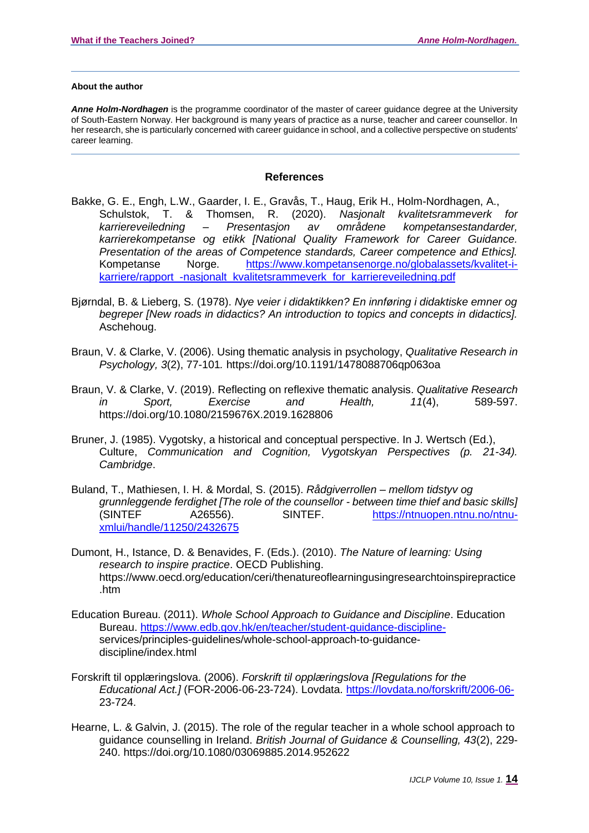#### **About the author**

*Anne Holm-Nordhagen* is the programme coordinator of the master of career guidance degree at the University of South-Eastern Norway. Her background is many years of practice as a nurse, teacher and career counsellor. In her research, she is particularly concerned with career guidance in school, and a collective perspective on students' career learning.

#### **References**

- Bakke, G. E., Engh, L.W., Gaarder, I. E., Gravås, T., Haug, Erik H., Holm-Nordhagen, A., Schulstok, T. & Thomsen, R. (2020). *Nasjonalt kvalitetsrammeverk for karriereveiledning – Presentasjon av områdene kompetansestandarder, karrierekompetanse og etikk [National Quality Framework for Career Guidance. Presentation of the areas of Competence standards, Career competence and Ethics].* Kompetanse Norge. [https://www.kompetansenorge.no/globalassets/kvalitet-i](https://www.kompetansenorge.no/globalassets/kvalitet-i-karriere/rapport_-nasjonalt_kvalitetsrammeverk_for_karriereveiledning.pdf)karriere/rapport -nasionalt kvalitetsrammeverk for karriereveiledning.pdf
- Bjørndal, B. & Lieberg, S. (1978). *Nye veier i didaktikken? En innføring i didaktiske emner og begreper [New roads in didactics? An introduction to topics and concepts in didactics].* Aschehoug.
- Braun, V. & Clarke, V. (2006). Using thematic analysis in psychology, *Qualitative Research in Psychology, 3*(2), 77-101*.* https://doi.org/10.1191/1478088706qp063oa
- Braun, V. & Clarke, V. (2019). Reflecting on reflexive thematic analysis. *Qualitative Research in Sport, Exercise and Health, 11*(4), 589-597. https://doi.org/10.1080/2159676X.2019.1628806
- Bruner, J. (1985). Vygotsky, a historical and conceptual perspective. In J. Wertsch (Ed.), Culture, *Communication and Cognition, Vygotskyan Perspectives (p. 21-34). Cambridge*.
- Buland, T., Mathiesen, I. H. & Mordal, S. (2015). *Rådgiverrollen – mellom tidstyv og grunnleggende ferdighet [The role of the counsellor - between time thief and basic skills]* (SINTEF A26556). SINTEF. [https://ntnuopen.ntnu.no/ntnu](https://ntnuopen.ntnu.no/ntnu-xmlui/handle/11250/2432675)[xmlui/handle/11250/2432675](https://ntnuopen.ntnu.no/ntnu-xmlui/handle/11250/2432675)
- Dumont, H., Istance, D. & Benavides, F. (Eds.). (2010). *The Nature of learning: Using research to inspire practice*. OECD Publishing. https://www.oecd.org/education/ceri/thenatureoflearningusingresearchtoinspirepractice .htm
- Education Bureau. (2011). *Whole School Approach to Guidance and Discipline*. Education Bureau. [https://www.edb.gov.hk/en/teacher/student-guidance-discipline](https://www.edb.gov.hk/en/teacher/student-guidance-discipline-)services/principles-guidelines/whole-school-approach-to-guidancediscipline/index.html
- Forskrift til opplæringslova. (2006). *Forskrift til opplæringslova [Regulations for the Educational Act.]* (FOR-2006-06-23-724). Lovdata.<https://lovdata.no/forskrift/2006-06-> 23-724.
- Hearne, L. & Galvin, J. (2015). The role of the regular teacher in a whole school approach to guidance counselling in Ireland. *British Journal of Guidance & Counselling, 43*(2), 229- 240. https://doi.org/10.1080/03069885.2014.952622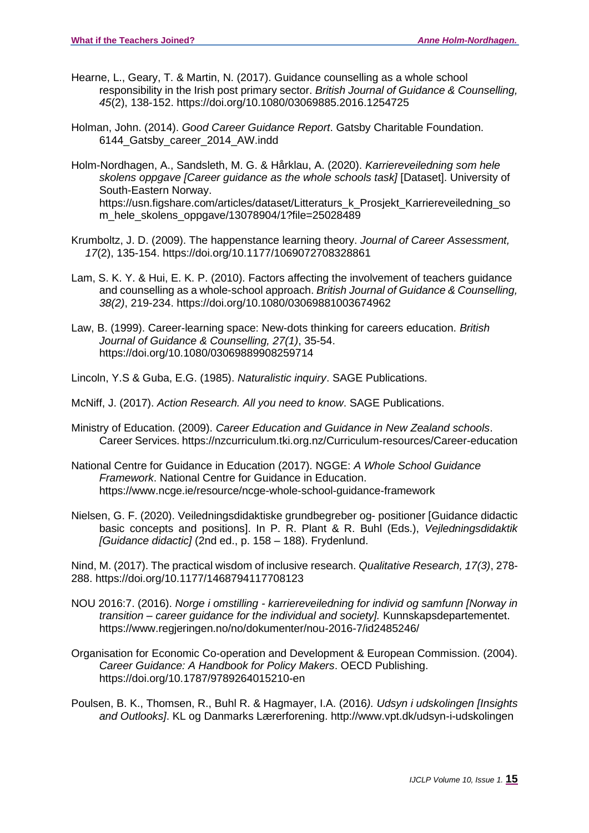- Hearne, L., Geary, T. & Martin, N. (2017). Guidance counselling as a whole school responsibility in the Irish post primary sector. *British Journal of Guidance & Counselling, 45*(2), 138-152. https://doi.org/10.1080/03069885.2016.1254725
- Holman, John. (2014). *Good Career Guidance Report*. Gatsby Charitable Foundation. 6144\_Gatsby\_career\_2014\_AW.indd
- Holm-Nordhagen, A., Sandsleth, M. G. & Hårklau, A. (2020). *Karriereveiledning som hele skolens oppgave [Career guidance as the whole schools task]* [Dataset]. University of South-Eastern Norway. https://usn.figshare.com/articles/dataset/Litteraturs\_k\_Prosjekt\_Karriereveiledning\_so m\_hele\_skolens\_oppgave/13078904/1?file=25028489
- Krumboltz, J. D. (2009). The happenstance learning theory. *Journal of Career Assessment, 17*(2), 135-154. https://doi.org/10.1177/1069072708328861
- Lam, S. K. Y. & Hui, E. K. P. (2010). Factors affecting the involvement of teachers guidance and counselling as a whole-school approach. *British Journal of Guidance & Counselling, 38(2)*, 219-234. https://doi.org/10.1080/03069881003674962
- Law, B. (1999). Career-learning space: New-dots thinking for careers education. *British Journal of Guidance & Counselling, 27(1)*, 35-54. https://doi.org/10.1080/03069889908259714
- Lincoln, Y.S & Guba, E.G. (1985). *Naturalistic inquiry*. SAGE Publications.
- McNiff, J. (2017). *Action Research. All you need to know*. SAGE Publications.
- Ministry of Education. (2009). *Career Education and Guidance in New Zealand schools*. Career Services. https://nzcurriculum.tki.org.nz/Curriculum-resources/Career-education
- National Centre for Guidance in Education (2017). NGGE: *A Whole School Guidance Framework*. National Centre for Guidance in Education. https://www.ncge.ie/resource/ncge-whole-school-guidance-framework
- Nielsen, G. F. (2020). Veiledningsdidaktiske grundbegreber og- positioner [Guidance didactic basic concepts and positions]. In P. R. Plant & R. Buhl (Eds.), *Vejledningsdidaktik [Guidance didactic]* (2nd ed., p. 158 – 188). Frydenlund.

Nind, M. (2017). The practical wisdom of inclusive research. *Qualitative Research, 17(3)*, 278- 288. https://doi.org/10.1177/1468794117708123

- NOU 2016:7. (2016). *Norge i omstilling - karriereveiledning for individ og samfunn [Norway in transition – career guidance for the individual and society].* Kunnskapsdepartementet. https://www.regjeringen.no/no/dokumenter/nou-2016-7/id2485246/
- Organisation for Economic Co-operation and Development & European Commission. (2004). *Career Guidance: A Handbook for Policy Makers*. OECD Publishing. https://doi.org/10.1787/9789264015210-en
- Poulsen, B. K., Thomsen, R., Buhl R. & Hagmayer, I.A. (2016*). Udsyn i udskolingen [Insights and Outlooks]*. KL og Danmarks Lærerforening. http://www.vpt.dk/udsyn-i-udskolingen